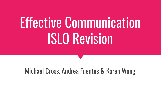# Effective Communication ISLO Revision

## Michael Cross, Andrea Fuentes & Karen Wong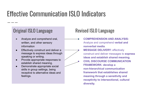# Effective Communication ISLO Indicators

### Original ISLO Language

- Analyze and comprehend oral, written, and other sensory information
- Effectively construct and deliver a message to express ideas through speaking or writing.
- Provide appropriate responses to establish shared meaning.
- Demonstrate appropriate social skills in group settings, being receptive to alternative ideas and feelings.

## Revised ISLO Language

● **COMPREHENSION AND ANALYSIS:** Analyze and comprehend **verbal and nonverbal media**. **MESSAGE DELIVERY: effectively** construct and deliver messages to **express ideas and establish shared meaning. ● CIVIL DISCOURSE COMMUNICATION FRAMEWORK: develop a non-hierarchical communication framework that establishes shared meaning through a sensitivity and receptivity to intersectional, cultural diversity.**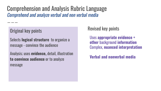Comprehension and Analysis Rubric Language Comprehend and analyze verbal and non verbal media

Original key points

Selects **logical structure** to organize a message - convince the audience

Analysis; uses **evidence,** detail, illustration **to convince audience** or to analyze message

Revised key points

Uses **appropriate evidence + other** background **information** Complex, **nuanced interpretation**

**Verbal and nonverbal media**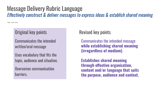## Message Delivery Rubric Language

Effectively construct & deliver messages to express ideas & establish shared meaning

### Original key points

Communicates the intended written/oral message

Uses vocabulary that fits the topic, audience and situation.

Overcomes communication barriers.

#### Revised key points

Communicates the intended message **while establishing shared meaning (irregardless of medium)**.

**Establishes shared meaning through effective organization, content and/or language that suits the purpose, audience and context.**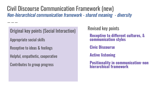Civil Discourse Communication Framework (new) Non-hierarchical communication framework - shared meaning - diversity

Original key points (Social Interaction) Appropriate social skills Receptive to ideas & feelings Helpful, empathetic, cooperative Contributes to group progress

Revised key points

**Receptive to different cultures, & communication styles**

**Civic Discourse**

**Active listening**

**Positionality in communication-non hierarchical framework**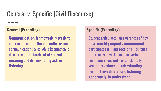# General v. Specific (Civil Discourse)

#### **General (Exceeding)**

**Communication framework** is sensitive and receptive to **different cultures** and communication styles while keeping civic discourse at the forefront of **shared meaning** and demonstrating **active listening**.

#### **Specific (Exceeding)**

Student articulates an awareness of how **positionality impacts communication,** participates in **intersectional, cultural**  differences in verbal and nonverbal communication, and overall skillfully generates a **shared understanding** despite these differences, **listening generously to understand**.